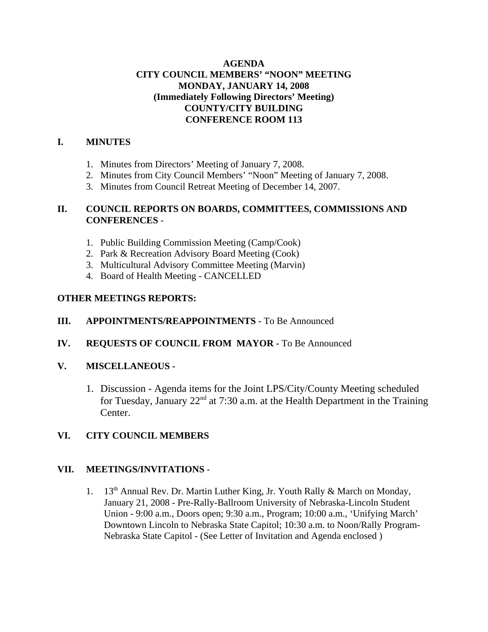### **AGENDA CITY COUNCIL MEMBERS' "NOON" MEETING MONDAY, JANUARY 14, 2008 (Immediately Following Directors' Meeting) COUNTY/CITY BUILDING CONFERENCE ROOM 113**

# **I. MINUTES**

- 1. Minutes from Directors' Meeting of January 7, 2008.
- 2. Minutes from City Council Members' "Noon" Meeting of January 7, 2008.
- 3. Minutes from Council Retreat Meeting of December 14, 2007.

### **II. COUNCIL REPORTS ON BOARDS, COMMITTEES, COMMISSIONS AND CONFERENCES** -

- 1. Public Building Commission Meeting (Camp/Cook)
- 2. Park & Recreation Advisory Board Meeting (Cook)
- 3. Multicultural Advisory Committee Meeting (Marvin)
- 4. Board of Health Meeting CANCELLED

# **OTHER MEETINGS REPORTS:**

# **III.** APPOINTMENTS/REAPPOINTMENTS - To Be Announced

**IV. REQUESTS OF COUNCIL FROM MAYOR -** To Be Announced

### **V. MISCELLANEOUS -**

1. Discussion - Agenda items for the Joint LPS/City/County Meeting scheduled for Tuesday, January  $22<sup>nd</sup>$  at 7:30 a.m. at the Health Department in the Training Center.

# **VI. CITY COUNCIL MEMBERS**

### **VII. MEETINGS/INVITATIONS** -

1. 13<sup>th</sup> Annual Rev. Dr. Martin Luther King, Jr. Youth Rally & March on Monday, January 21, 2008 - Pre-Rally-Ballroom University of Nebraska-Lincoln Student Union - 9:00 a.m., Doors open; 9:30 a.m., Program; 10:00 a.m., 'Unifying March' Downtown Lincoln to Nebraska State Capitol; 10:30 a.m. to Noon/Rally Program-Nebraska State Capitol - (See Letter of Invitation and Agenda enclosed )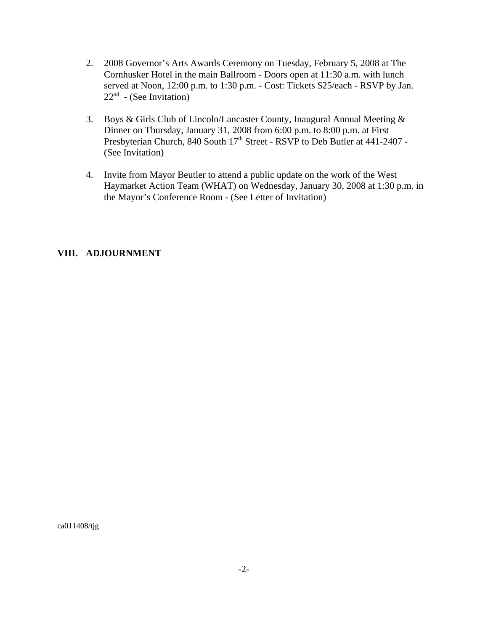- 2. 2008 Governor's Arts Awards Ceremony on Tuesday, February 5, 2008 at The Cornhusker Hotel in the main Ballroom - Doors open at 11:30 a.m. with lunch served at Noon, 12:00 p.m. to 1:30 p.m. - Cost: Tickets \$25/each - RSVP by Jan.  $22<sup>nd</sup>$  - (See Invitation)
- 3. Boys & Girls Club of Lincoln/Lancaster County, Inaugural Annual Meeting & Dinner on Thursday, January 31, 2008 from 6:00 p.m. to 8:00 p.m. at First Presbyterian Church, 840 South 17<sup>th</sup> Street - RSVP to Deb Butler at 441-2407 -(See Invitation)
- 4. Invite from Mayor Beutler to attend a public update on the work of the West Haymarket Action Team (WHAT) on Wednesday, January 30, 2008 at 1:30 p.m. in the Mayor's Conference Room - (See Letter of Invitation)

#### **VIII. ADJOURNMENT**

ca011408/tjg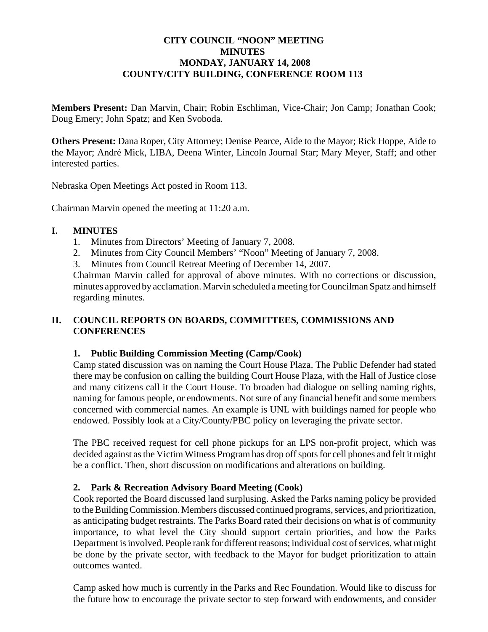### **CITY COUNCIL "NOON" MEETING MINUTES MONDAY, JANUARY 14, 2008 COUNTY/CITY BUILDING, CONFERENCE ROOM 113**

**Members Present:** Dan Marvin, Chair; Robin Eschliman, Vice-Chair; Jon Camp; Jonathan Cook; Doug Emery; John Spatz; and Ken Svoboda.

**Others Present:** Dana Roper, City Attorney; Denise Pearce, Aide to the Mayor; Rick Hoppe, Aide to the Mayor; André Mick, LIBA, Deena Winter, Lincoln Journal Star; Mary Meyer, Staff; and other interested parties.

Nebraska Open Meetings Act posted in Room 113.

Chairman Marvin opened the meeting at 11:20 a.m.

### **I. MINUTES**

- 1. Minutes from Directors' Meeting of January 7, 2008.
- 2. Minutes from City Council Members' "Noon" Meeting of January 7, 2008.
- 3. Minutes from Council Retreat Meeting of December 14, 2007.

Chairman Marvin called for approval of above minutes. With no corrections or discussion, minutes approved by acclamation. Marvin scheduled a meeting for Councilman Spatz and himself regarding minutes.

# **II. COUNCIL REPORTS ON BOARDS, COMMITTEES, COMMISSIONS AND CONFERENCES**

### **1. Public Building Commission Meeting (Camp/Cook)**

Camp stated discussion was on naming the Court House Plaza. The Public Defender had stated there may be confusion on calling the building Court House Plaza, with the Hall of Justice close and many citizens call it the Court House. To broaden had dialogue on selling naming rights, naming for famous people, or endowments. Not sure of any financial benefit and some members concerned with commercial names. An example is UNL with buildings named for people who endowed. Possibly look at a City/County/PBC policy on leveraging the private sector.

The PBC received request for cell phone pickups for an LPS non-profit project, which was decided against as the Victim Witness Program has drop off spots for cell phones and felt it might be a conflict. Then, short discussion on modifications and alterations on building.

### **2. Park & Recreation Advisory Board Meeting (Cook)**

Cook reported the Board discussed land surplusing. Asked the Parks naming policy be provided to the Building Commission. Members discussed continued programs, services, and prioritization, as anticipating budget restraints. The Parks Board rated their decisions on what is of community importance, to what level the City should support certain priorities, and how the Parks Department is involved. People rank for different reasons; individual cost of services, what might be done by the private sector, with feedback to the Mayor for budget prioritization to attain outcomes wanted.

Camp asked how much is currently in the Parks and Rec Foundation. Would like to discuss for the future how to encourage the private sector to step forward with endowments, and consider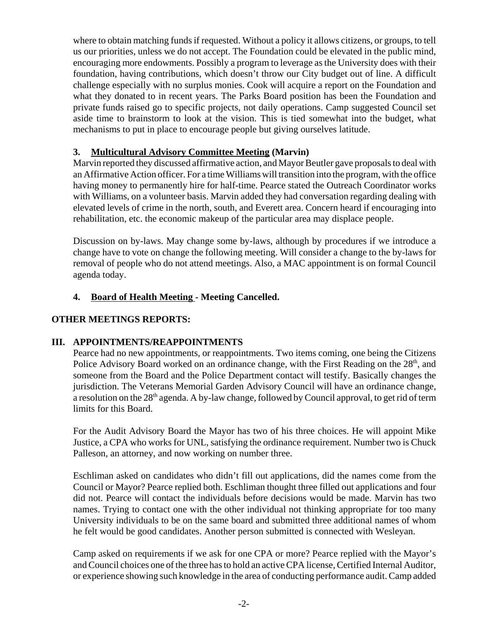where to obtain matching funds if requested. Without a policy it allows citizens, or groups, to tell us our priorities, unless we do not accept. The Foundation could be elevated in the public mind, encouraging more endowments. Possibly a program to leverage as the University does with their foundation, having contributions, which doesn't throw our City budget out of line. A difficult challenge especially with no surplus monies. Cook will acquire a report on the Foundation and what they donated to in recent years. The Parks Board position has been the Foundation and private funds raised go to specific projects, not daily operations. Camp suggested Council set aside time to brainstorm to look at the vision. This is tied somewhat into the budget, what mechanisms to put in place to encourage people but giving ourselves latitude.

# **3. Multicultural Advisory Committee Meeting (Marvin)**

Marvin reported they discussed affirmative action, and Mayor Beutler gave proposals to deal with an Affirmative Action officer. For a time Williams will transition into the program, with the office having money to permanently hire for half-time. Pearce stated the Outreach Coordinator works with Williams, on a volunteer basis. Marvin added they had conversation regarding dealing with elevated levels of crime in the north, south, and Everett area. Concern heard if encouraging into rehabilitation, etc. the economic makeup of the particular area may displace people.

Discussion on by-laws. May change some by-laws, although by procedures if we introduce a change have to vote on change the following meeting. Will consider a change to the by-laws for removal of people who do not attend meetings. Also, a MAC appointment is on formal Council agenda today.

# **4. Board of Health Meeting - Meeting Cancelled.**

# **OTHER MEETINGS REPORTS:**

### **III. APPOINTMENTS/REAPPOINTMENTS**

Pearce had no new appointments, or reappointments. Two items coming, one being the Citizens Police Advisory Board worked on an ordinance change, with the First Reading on the 28<sup>th</sup>, and someone from the Board and the Police Department contact will testify. Basically changes the jurisdiction. The Veterans Memorial Garden Advisory Council will have an ordinance change, a resolution on the 28<sup>th</sup> agenda. A by-law change, followed by Council approval, to get rid of term limits for this Board.

For the Audit Advisory Board the Mayor has two of his three choices. He will appoint Mike Justice, a CPA who works for UNL, satisfying the ordinance requirement. Number two is Chuck Palleson, an attorney, and now working on number three.

Eschliman asked on candidates who didn't fill out applications, did the names come from the Council or Mayor? Pearce replied both. Eschliman thought three filled out applications and four did not. Pearce will contact the individuals before decisions would be made. Marvin has two names. Trying to contact one with the other individual not thinking appropriate for too many University individuals to be on the same board and submitted three additional names of whom he felt would be good candidates. Another person submitted is connected with Wesleyan.

Camp asked on requirements if we ask for one CPA or more? Pearce replied with the Mayor's and Council choices one of the three has to hold an active CPA license, Certified Internal Auditor, or experience showing such knowledge in the area of conducting performance audit. Camp added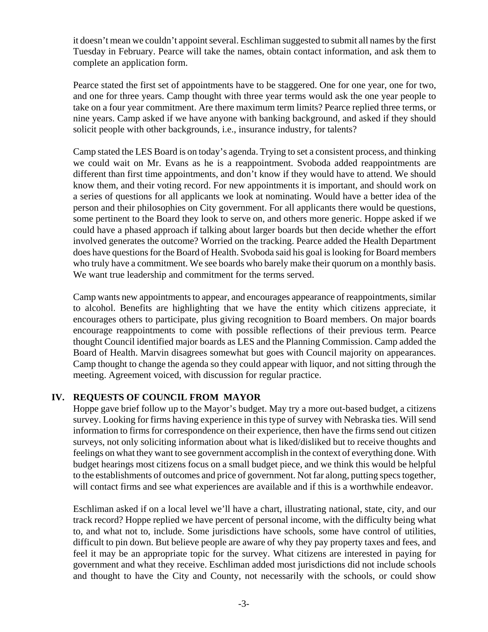it doesn't mean we couldn't appoint several. Eschliman suggested to submit all names by the first Tuesday in February. Pearce will take the names, obtain contact information, and ask them to complete an application form.

Pearce stated the first set of appointments have to be staggered. One for one year, one for two, and one for three years. Camp thought with three year terms would ask the one year people to take on a four year commitment. Are there maximum term limits? Pearce replied three terms, or nine years. Camp asked if we have anyone with banking background, and asked if they should solicit people with other backgrounds, i.e., insurance industry, for talents?

Camp stated the LES Board is on today's agenda. Trying to set a consistent process, and thinking we could wait on Mr. Evans as he is a reappointment. Svoboda added reappointments are different than first time appointments, and don't know if they would have to attend. We should know them, and their voting record. For new appointments it is important, and should work on a series of questions for all applicants we look at nominating. Would have a better idea of the person and their philosophies on City government. For all applicants there would be questions, some pertinent to the Board they look to serve on, and others more generic. Hoppe asked if we could have a phased approach if talking about larger boards but then decide whether the effort involved generates the outcome? Worried on the tracking. Pearce added the Health Department does have questions for the Board of Health. Svoboda said his goal is looking for Board members who truly have a commitment. We see boards who barely make their quorum on a monthly basis. We want true leadership and commitment for the terms served.

Camp wants new appointments to appear, and encourages appearance of reappointments, similar to alcohol. Benefits are highlighting that we have the entity which citizens appreciate, it encourages others to participate, plus giving recognition to Board members. On major boards encourage reappointments to come with possible reflections of their previous term. Pearce thought Council identified major boards as LES and the Planning Commission. Camp added the Board of Health. Marvin disagrees somewhat but goes with Council majority on appearances. Camp thought to change the agenda so they could appear with liquor, and not sitting through the meeting. Agreement voiced, with discussion for regular practice.

### **IV. REQUESTS OF COUNCIL FROM MAYOR**

Hoppe gave brief follow up to the Mayor's budget. May try a more out-based budget, a citizens survey. Looking for firms having experience in this type of survey with Nebraska ties. Will send information to firms for correspondence on their experience, then have the firms send out citizen surveys, not only soliciting information about what is liked/disliked but to receive thoughts and feelings on what they want to see government accomplish in the context of everything done. With budget hearings most citizens focus on a small budget piece, and we think this would be helpful to the establishments of outcomes and price of government. Not far along, putting specs together, will contact firms and see what experiences are available and if this is a worthwhile endeavor.

Eschliman asked if on a local level we'll have a chart, illustrating national, state, city, and our track record? Hoppe replied we have percent of personal income, with the difficulty being what to, and what not to, include. Some jurisdictions have schools, some have control of utilities, difficult to pin down. But believe people are aware of why they pay property taxes and fees, and feel it may be an appropriate topic for the survey. What citizens are interested in paying for government and what they receive. Eschliman added most jurisdictions did not include schools and thought to have the City and County, not necessarily with the schools, or could show